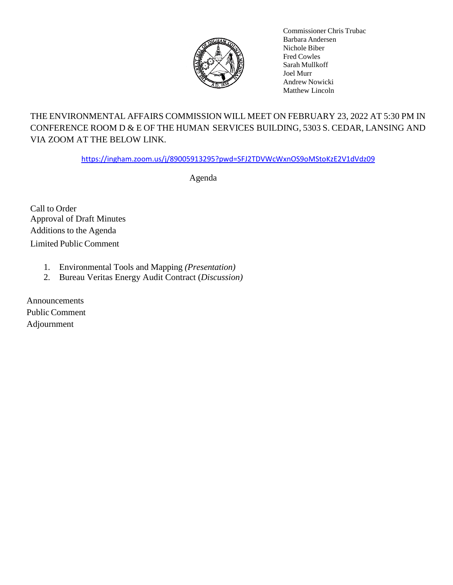

Commissioner Chris Trubac Barbara Andersen Nichole Biber Fred Cowles Sarah Mullkoff Joel Murr Andrew Nowicki Matthew Lincoln

THE ENVIRONMENTAL AFFAIRS COMMISSION WILL MEET ON FEBRUARY 23, 2022 AT 5:30 PM IN CONFERENCE ROOM D & E OF THE HUMAN SERVICES BUILDING, 5303 S. CEDAR, LANSING AND VIA ZOOM AT THE BELOW LINK.

<https://ingham.zoom.us/j/89005913295?pwd=SFJ2TDVWcWxnOS9oMStoKzE2V1dVdz09>

Agenda

Call to Order Approval of Draft Minutes Additions to the Agenda Limited Public Comment

- 1. Environmental Tools and Mapping *(Presentation)*
- 2. Bureau Veritas Energy Audit Contract (*Discussion)*

Announcements Public Comment Adjournment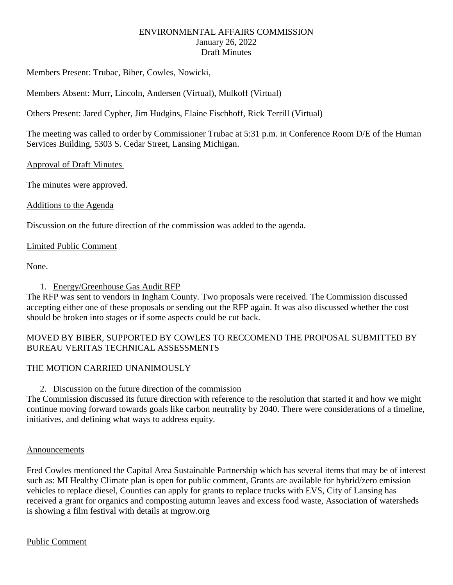### ENVIRONMENTAL AFFAIRS COMMISSION January 26, 2022 Draft Minutes

Members Present: Trubac, Biber, Cowles, Nowicki,

Members Absent: Murr, Lincoln, Andersen (Virtual), Mulkoff (Virtual)

Others Present: Jared Cypher, Jim Hudgins, Elaine Fischhoff, Rick Terrill (Virtual)

The meeting was called to order by Commissioner Trubac at 5:31 p.m. in Conference Room D/E of the Human Services Building, 5303 S. Cedar Street, Lansing Michigan.

### Approval of Draft Minutes

The minutes were approved.

Additions to the Agenda

Discussion on the future direction of the commission was added to the agenda.

### Limited Public Comment

None.

### 1. Energy/Greenhouse Gas Audit RFP

The RFP was sent to vendors in Ingham County. Two proposals were received. The Commission discussed accepting either one of these proposals or sending out the RFP again. It was also discussed whether the cost should be broken into stages or if some aspects could be cut back.

## MOVED BY BIBER, SUPPORTED BY COWLES TO RECCOMEND THE PROPOSAL SUBMITTED BY BUREAU VERITAS TECHNICAL ASSESSMENTS

## THE MOTION CARRIED UNANIMOUSLY

2. Discussion on the future direction of the commission

The Commission discussed its future direction with reference to the resolution that started it and how we might continue moving forward towards goals like carbon neutrality by 2040. There were considerations of a timeline, initiatives, and defining what ways to address equity.

### Announcements

Fred Cowles mentioned the Capital Area Sustainable Partnership which has several items that may be of interest such as: MI Healthy Climate plan is open for public comment, Grants are available for hybrid/zero emission vehicles to replace diesel, Counties can apply for grants to replace trucks with EVS, City of Lansing has received a grant for organics and composting autumn leaves and excess food waste, Association of watersheds is showing a film festival with details at mgrow.org